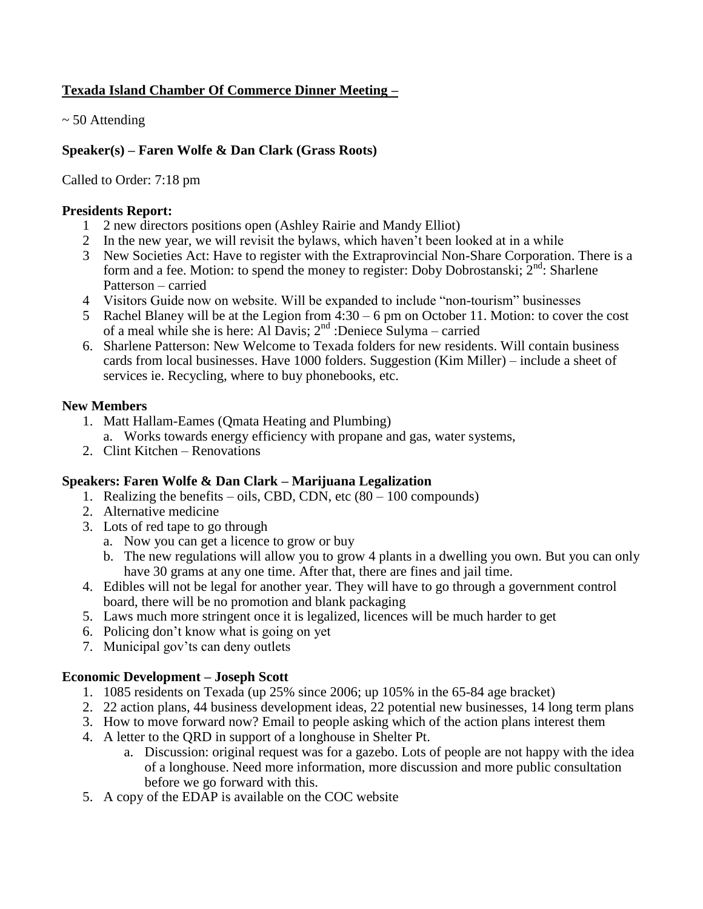# **Texada Island Chamber Of Commerce Dinner Meeting –**

 $\sim$  50 Attending

## **Speaker(s) – Faren Wolfe & Dan Clark (Grass Roots)**

Called to Order: 7:18 pm

### **Presidents Report:**

- 1 2 new directors positions open (Ashley Rairie and Mandy Elliot)
- 2 In the new year, we will revisit the bylaws, which haven't been looked at in a while
- 3 New Societies Act: Have to register with the Extraprovincial Non-Share Corporation. There is a form and a fee. Motion: to spend the money to register: Doby Dobrostanski;  $2<sup>nd</sup>$ : Sharlene Patterson – carried
- 4 Visitors Guide now on website. Will be expanded to include "non-tourism" businesses
- 5 Rachel Blaney will be at the Legion from 4:30 6 pm on October 11. Motion: to cover the cost of a meal while she is here: Al Davis;  $2<sup>nd</sup>$  :Deniece Sulyma – carried
- 6. Sharlene Patterson: New Welcome to Texada folders for new residents. Will contain business cards from local businesses. Have 1000 folders. Suggestion (Kim Miller) – include a sheet of services ie. Recycling, where to buy phonebooks, etc.

### **New Members**

- 1. Matt Hallam-Eames (Qmata Heating and Plumbing)
- a. Works towards energy efficiency with propane and gas, water systems,
- 2. Clint Kitchen Renovations

## **Speakers: Faren Wolfe & Dan Clark – Marijuana Legalization**

- 1. Realizing the benefits oils, CBD, CDN, etc  $(80 100$  compounds)
- 2. Alternative medicine
- 3. Lots of red tape to go through
	- a. Now you can get a licence to grow or buy
	- b. The new regulations will allow you to grow 4 plants in a dwelling you own. But you can only have 30 grams at any one time. After that, there are fines and jail time.
- 4. Edibles will not be legal for another year. They will have to go through a government control board, there will be no promotion and blank packaging
- 5. Laws much more stringent once it is legalized, licences will be much harder to get
- 6. Policing don't know what is going on yet
- 7. Municipal gov'ts can deny outlets

## **Economic Development – Joseph Scott**

- 1. 1085 residents on Texada (up 25% since 2006; up 105% in the 65-84 age bracket)
- 2. 22 action plans, 44 business development ideas, 22 potential new businesses, 14 long term plans
- 3. How to move forward now? Email to people asking which of the action plans interest them
- 4. A letter to the QRD in support of a longhouse in Shelter Pt.
	- a. Discussion: original request was for a gazebo. Lots of people are not happy with the idea of a longhouse. Need more information, more discussion and more public consultation before we go forward with this.
- 5. A copy of the EDAP is available on the COC website